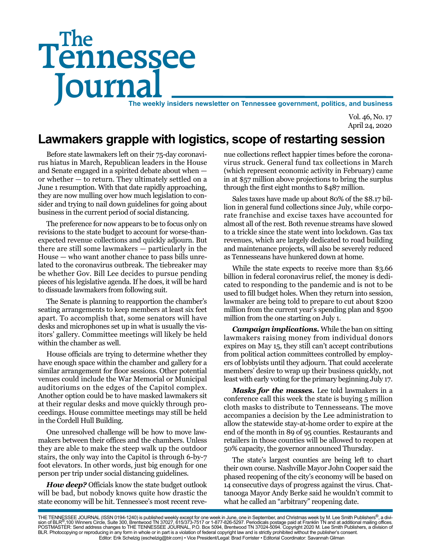# Tennessee **Journal** The weekly insiders newsletter on Tennessee government, politics, and business The

Vol. 46, No. 17 April 24, 2020

# **Lawmakers grapple with logistics, scope of restarting session**

Before state lawmakers left on their 75-day coronavirus hiatus in March, Republican leaders in the House and Senate engaged in a spirited debate about when or whether — to return. They ultimately settled on a June 1 resumption. With that date rapidly approaching, they are now mulling over how much legislation to consider and trying to nail down guidelines for going about business in the current period of social distancing.

The preference for now appears to be to focus only on revisions to the state budget to account for worse-thanexpected revenue collections and quickly adjourn. But there are still some lawmakers — particularly in the House — who want another chance to pass bills unrelated to the coronavirus outbreak. The tiebreaker may be whether Gov. Bill Lee decides to pursue pending pieces of his legislative agenda. If he does, it will be hard to dissuade lawmakers from following suit.

The Senate is planning to reapportion the chamber's seating arrangements to keep members at least six feet apart. To accomplish that, some senators will have desks and microphones set up in what is usually the visitors' gallery. Committee meetings will likely be held within the chamber as well.

House officials are trying to determine whether they have enough space within the chamber and gallery for a similar arrangement for floor sessions. Other potential venues could include the War Memorial or Municipal auditoriums on the edges of the Capitol complex. Another option could be to have masked lawmakers sit at their regular desks and move quickly through proceedings. House committee meetings may still be held in the Cordell Hull Building.

One unresolved challenge will be how to move lawmakers between their offices and the chambers. Unless they are able to make the steep walk up the outdoor stairs, the only way into the Capitol is through 6-by-7 foot elevators. In other words, just big enough for one person per trip under social distancing guidelines.

*How deep?* Officials know the state budget outlook will be bad, but nobody knows quite how drastic the state economy will be hit. Tennessee's most recent revenue collections reflect happier times before the coronavirus struck. General fund tax collections in March (which represent economic activity in February) came in at \$57 million above projections to bring the surplus through the first eight months to \$487 million.

Sales taxes have made up about 80% of the \$8.17 billion in general fund collections since July, while corporate franchise and excise taxes have accounted for almost all of the rest. Both revenue streams have slowed to a trickle since the state went into lockdown. Gas tax revenues, which are largely dedicated to road building and maintenance projects, will also be severely reduced as Tennesseans have hunkered down at home.

While the state expects to receive more than \$3.66 billion in federal coronavirus relief, the money is dedicated to responding to the pandemic and is not to be used to fill budget holes. When they return into session, lawmaker are being told to prepare to cut about \$200 million from the current year's spending plan and \$500 million from the one starting on July 1.

*Campaign implications.* While the ban on sitting lawmakers raising money from individual donors expires on May 15, they still can't accept contributions from political action committees controlled by employers of lobbyists until they adjourn. That could accelerate members' desire to wrap up their business quickly, not least with early voting for the primary beginning July 17.

*Masks for the masses.* Lee told lawmakers in a conference call this week the state is buying 5 million cloth masks to distribute to Tennesseans. The move accompanies a decision by the Lee administration to allow the statewide stay-at-home order to expire at the end of the month in 89 of 95 counties. Restaurants and retailers in those counties will be allowed to reopen at 50% capacity, the governor announced Thursday.

The state's largest counties are being left to chart their own course. Nashville Mayor John Cooper said the phased reopening of the city's economy will be based on 14 consecutive days of progress against the virus. Chattanooga Mayor Andy Berke said he wouldn't commit to what he called an "arbitrary" reopening date.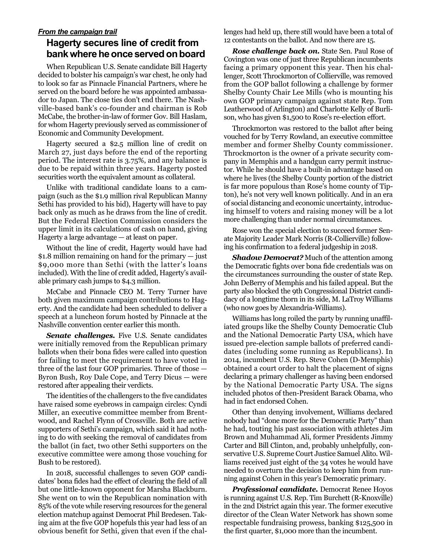#### *From the campaign trail* **Hagerty secures line of credit from bank where he once served on board**

When Republican U.S. Senate candidate Bill Hagerty decided to bolster his campaign's war chest, he only had to look so far as Pinnacle Financial Partners, where he served on the board before he was appointed ambassador to Japan. The close ties don't end there. The Nashville-based bank's co-founder and chairman is Rob McCabe, the brother-in-law of former Gov. Bill Haslam, for whom Hagerty previously served as commissioner of Economic and Community Development.

Hagerty secured a \$2.5 million line of credit on March 27, just days before the end of the reporting period. The interest rate is 3.75%, and any balance is due to be repaid within three years. Hagerty posted securities worth the equivalent amount as collateral.

Unlike with traditional candidate loans to a campaign (such as the \$1.9 million rival Republican Manny Sethi has provided to his bid), Hagerty will have to pay back only as much as he draws from the line of credit. But the Federal Election Commission considers the upper limit in its calculations of cash on hand, giving Hagerty a large advantage — at least on paper.

Without the line of credit, Hagerty would have had \$1.8 million remaining on hand for the primary — just \$9,000 more than Sethi (with the latter's loans included). With the line of credit added, Hagerty's available primary cash jumps to \$4.3 million.

McCabe and Pinnacle CEO M. Terry Turner have both given maximum campaign contributions to Hagerty. And the candidate had been scheduled to deliver a speech at a luncheon forum hosted by Pinnacle at the Nashville convention center earlier this month.

**Senate challenges.** Five U.S. Senate candidates were initially removed from the Republican primary ballots when their bona fides were called into question for failing to meet the requirement to have voted in three of the last four GOP primaries. Three of those — Byron Bush, Roy Dale Cope, and Terry Dicus — were restored after appealing their verdicts.

The identities of the challengers to the five candidates have raised some eyebrows in campaign circles: Cyndi Miller, an executive committee member from Brentwood, and Rachel Flynn of Crossville. Both are active supporters of Sethi's campaign, which said it had nothing to do with seeking the removal of candidates from the ballot (in fact, two other Sethi supporters on the executive committee were among those vouching for Bush to be restored).

In 2018, successful challenges to seven GOP candidates' bona fides had the effect of clearing the field of all but one little-known opponent for Marsha Blackburn. She went on to win the Republican nomination with 85% of the vote while reserving resources for the general election matchup against Democrat Phil Bredesen. Taking aim at the five GOP hopefuls this year had less of an obvious benefit for Sethi, given that even if the challenges had held up, there still would have been a total of 12 contestants on the ballot. And now there are 15.

*Rose challenge back on.* State Sen. Paul Rose of Covington was one of just three Republican incumbents facing a primary opponent this year. Then his challenger, Scott Throckmorton of Collierville, was removed from the GOP ballot following a challenge by former Shelby County Chair Lee Mills (who is mounting his own GOP primary campaign against state Rep. Tom Leatherwood of Arlington) and Charlotte Kelly of Burlison, who has given \$1,500 to Rose's re-election effort.

Throckmorton was restored to the ballot after being vouched for by Terry Rowland, an executive committee member and former Shelby County commissioner. Throckmorton is the owner of a private security company in Memphis and a handgun carry permit instructor. While he should have a built-in advantage based on where he lives (the Shelby County portion of the district is far more populous than Rose's home county of Tipton), he's not very well known politically. And in an era of social distancing and economic uncertainty, introducing himself to voters and raising money will be a lot more challenging than under normal circumstances.

Rose won the special election to succeed former Senate Majority Leader Mark Norris (R-Collierville) following his confirmation to a federal judgeship in 2018.

*Shadow Democrat?* Much of the attention among the Democratic fights over bona fide credentials was on the circumstances surrounding the ouster of state Rep. John DeBerry of Memphis and his failed appeal. But the party also blocked the 9th Congressional District candidacy of a longtime thorn in its side, M. LaTroy Williams (who now goes by Alexandria-Williams).

Williams has long roiled the party by running unaffiliated groups like the Shelby County Democratic Club and the National Democratic Party USA, which have issued pre-election sample ballots of preferred candidates (including some running as Republicans). In 2014, incumbent U.S. Rep. Steve Cohen (D-Memphis) obtained a court order to halt the placement of signs declaring a primary challenger as having been endorsed by the National Democratic Party USA. The signs included photos of then-President Barack Obama, who had in fact endorsed Cohen.

Other than denying involvement, Williams declared nobody had "done more for the Democratic Party" than he had, touting his past association with athletes Jim Brown and Muhammad Ali, former Presidents Jimmy Carter and Bill Clinton, and, probably unhelpfully, conservative U.S. Supreme Court Justice Samuel Alito. Williams received just eight of the 34 votes he would have needed to overturn the decision to keep him from running against Cohen in this year's Democratic primary.

*Professional candidate.* Democrat Renee Hoyos is running against U.S. Rep. Tim Burchett (R-Knoxville) in the 2nd District again this year. The former executive director of the Clean Water Network has shown some respectable fundraising prowess, banking \$125,500 in the first quarter, \$1,000 more than the incumbent.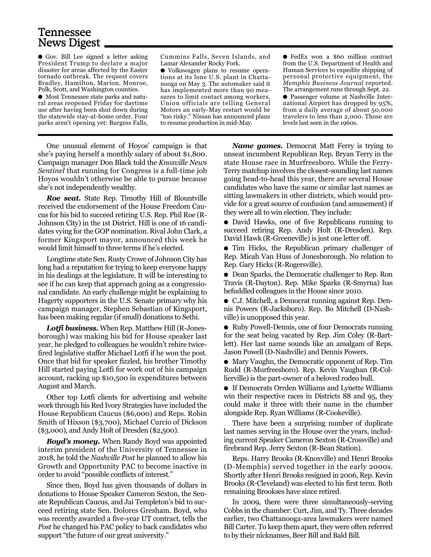## Tennessee News Digest

● Gov. Bill Lee signed a letter asking President Trump to declare a major disaster for areas affected by the Easter tornado outbreak. The request covers Bradley, Hamilton, Marion, Monroe, Polk, Scott, and Washington counties.

● Most Tennessee state parks and natural areas reopened Friday for daytime use after having been shut down during the statewide stay-at-home order. Four parks aren't opening yet: Burgess Falls,

Cummins Falls, Seven Islands, and Lamar Alexander Rocky Fork.

● Volkswagen plans to resume operations at its lone U.S. plant in Chattanooga on May 3. The automaker said it has implemented more than 90 measures to limit contact among workers. Union officials are telling General Motors an early-May restart would be "too risky." Nissan has announced plans to resume production in mid-May.

● FedEx won a \$60 million contract from the U.S. Department of Health and Human Services to expedite shipping of personal protective equipment, the *Memphis Business Journal* reported. The arrangement runs through Sept. 22.

● Passenger volume at Nashville International Airport has dropped by 95%, from a daily average of about 50,000 travelers to less than 2,000. Those are levels last seen in the 1960s.

One unusual element of Hoyos' campaign is that she's paying herself a monthly salary of about \$1,800. Campaign manager Don Black told the *Knoxville News Sentinel* that running for Congress is a full-time job Hoyos wouldn't otherwise be able to pursue because she's not independently wealthy.

*Roe seat.* State Rep. Timothy Hill of Blountville received the endorsement of the House Freedom Caucus for his bid to succeed retiring U.S. Rep. Phil Roe (R-Johnson City) in the 1st District. Hill is one of 16 candidates vying for the GOP nomination. Rival John Clark, a former Kingsport mayor, announced this week he would limit himself to three terms if he's elected.

Longtime state Sen. Rusty Crowe of Johnson City has long had a reputation for trying to keep everyone happy in his dealings at the legislature. It will be interesting to see if he can keep that approach going as a congressional candidate. An early challenge might be explaining to Hagerty supporters in the U.S. Senate primary why his campaign manager, Stephen Sebastian of Kingsport, has been making regular (if small) donations to Sethi.

*Lotfi business.* When Rep. Matthew Hill (R-Jonesborough) was making his bid for House speaker last year, he pledged to colleagues he wouldn't rehire twicefired legislative staffer Michael Lotfi if he won the post. Once that bid for speaker fizzled, his brother Timothy Hill started paying Lotfi for work out of his campaign account, racking up \$10,500 in expenditures between August and March.

Other top Lotfi clients for advertising and website work through his Red Ivory Strategies have included the House Republican Caucus (\$6,000) and Reps. Robin Smith of Hixson (\$3,700), Michael Curcio of Dickson (\$3,000), and Andy Holt of Dresden (\$2,500).

*Boyd's money.* When Randy Boyd was appointed interim president of the University of Tennessee in 2018, he told the *Nashville Post* he planned to allow his Growth and Opportunity PAC to become inactive in order to avoid "possible conflicts of interest."

Since then, Boyd has given thousands of dollars in donations to House Speaker Cameron Sexton, the Senate Republican Caucus, and Jai Templeton's bid to succeed retiring state Sen. Dolores Gresham. Boyd, who was recently awarded a five-year UT contract, tells the *Post* he changed his PAC policy to back candidates who support "the future of our great university."

*Name games.* Democrat Matt Ferry is trying to unseat incumbent Republican Rep. Bryan Terry in the state House race in Murfreesboro. While the Ferry-Terry matchup involves the closest-sounding last names going head-to-head this year, there are several House candidates who have the same or similar last names as sitting lawmakers in other districts, which would provide for a great source of confusion (and amusement) if they were all to win election. They include:

● David Hawks, one of five Republicans running to succeed retiring Rep. Andy Holt (R-Dresden). Rep. David Hawk (R-Greeneville) is just one letter off.

● Tim Hicks, the Republican primary challenger of Rep. Micah Van Huss of Jonesborough. No relation to Rep. Gary Hicks (R-Rogersville).

● Dean Sparks, the Democratic challenger to Rep. Ron Travis (R-Dayton). Rep. Mike Sparks (R-Smyrna) has befuddled colleagues in the House since 2010.

● C.J. Mitchell, a Democrat running against Rep. Dennis Powers (R-Jacksboro). Rep. Bo Mitchell (D-Nashville) is unopposed this year.

● Ruby Powell-Dennis, one of four Democrats running for the seat being vacated by Rep. Jim Coley (R-Bartlett). Her last name sounds like an amalgam of Reps. Jason Powell (D-Nashville) and Dennis Powers.

● Mary Vaughn, the Democratic opponent of Rep. Tim Rudd (R-Murfreesboro). Rep. Kevin Vaughan (R-Collierville) is the part-owner of a beloved rodeo bull.

● If Democrats Orrden Williams and Lynette Williams win their respective races in Districts 88 and 95, they could make it three with their name in the chamber alongside Rep. Ryan Williams (R-Cookeville).

There have been a surprising number of duplicate last names serving in the House over the years, including current Speaker Cameron Sexton (R-Crossville) and firebrand Rep. Jerry Sexton (R-Bean Station).

Reps. Harry Brooks (R-Knoxville) and Henri Brooks (D-Memphis) served together in the early 2000s. Shortly after Henri Brooks resigned in 2006, Rep. Kevin Brooks (R-Cleveland) was elected to his first term. Both remaining Brookses have since retired.

In 2009, there were three simultaneously-serving Cobbs in the chamber: Curt, Jim, and Ty. Three decades earlier, two Chattanooga-area lawmakers were named Bill Carter. To keep them apart, they were often referred to by their nicknames, Beer Bill and Bald Bill.